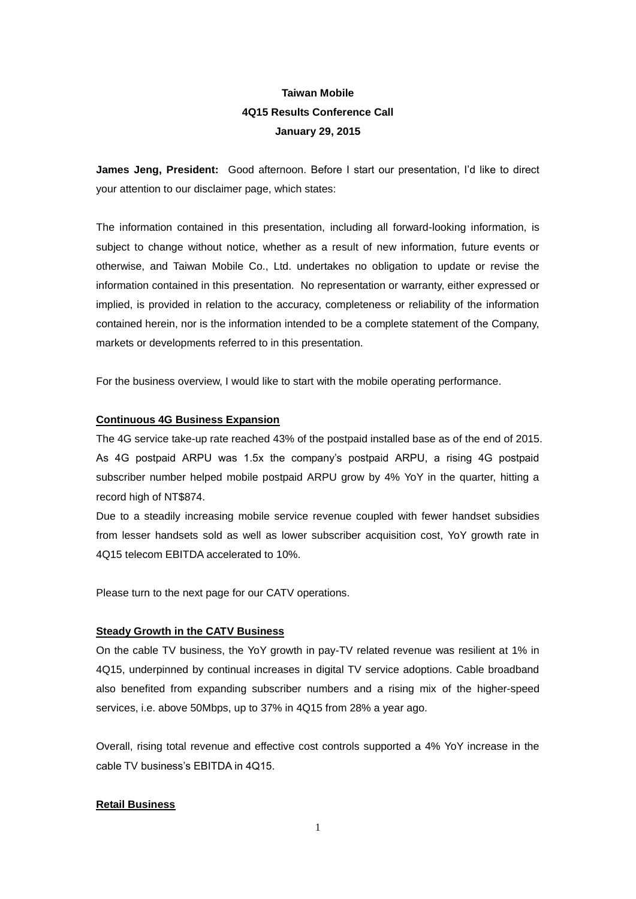# **Taiwan Mobile 4Q15 Results Conference Call January 29, 2015**

**James Jeng, President:** Good afternoon. Before I start our presentation, I'd like to direct your attention to our disclaimer page, which states:

The information contained in this presentation, including all forward-looking information, is subject to change without notice, whether as a result of new information, future events or otherwise, and Taiwan Mobile Co., Ltd. undertakes no obligation to update or revise the information contained in this presentation. No representation or warranty, either expressed or implied, is provided in relation to the accuracy, completeness or reliability of the information contained herein, nor is the information intended to be a complete statement of the Company, markets or developments referred to in this presentation.

For the business overview, I would like to start with the mobile operating performance.

#### **Continuous 4G Business Expansion**

The 4G service take-up rate reached 43% of the postpaid installed base as of the end of 2015. As 4G postpaid ARPU was 1.5x the company's postpaid ARPU, a rising 4G postpaid subscriber number helped mobile postpaid ARPU grow by 4% YoY in the quarter, hitting a record high of NT\$874.

Due to a steadily increasing mobile service revenue coupled with fewer handset subsidies from lesser handsets sold as well as lower subscriber acquisition cost, YoY growth rate in 4Q15 telecom EBITDA accelerated to 10%.

Please turn to the next page for our CATV operations.

#### **Steady Growth in the CATV Business**

On the cable TV business, the YoY growth in pay-TV related revenue was resilient at 1% in 4Q15, underpinned by continual increases in digital TV service adoptions. Cable broadband also benefited from expanding subscriber numbers and a rising mix of the higher-speed services, i.e. above 50Mbps, up to 37% in 4Q15 from 28% a year ago.

Overall, rising total revenue and effective cost controls supported a 4% YoY increase in the cable TV business's EBITDA in 4Q15.

#### **Retail Business**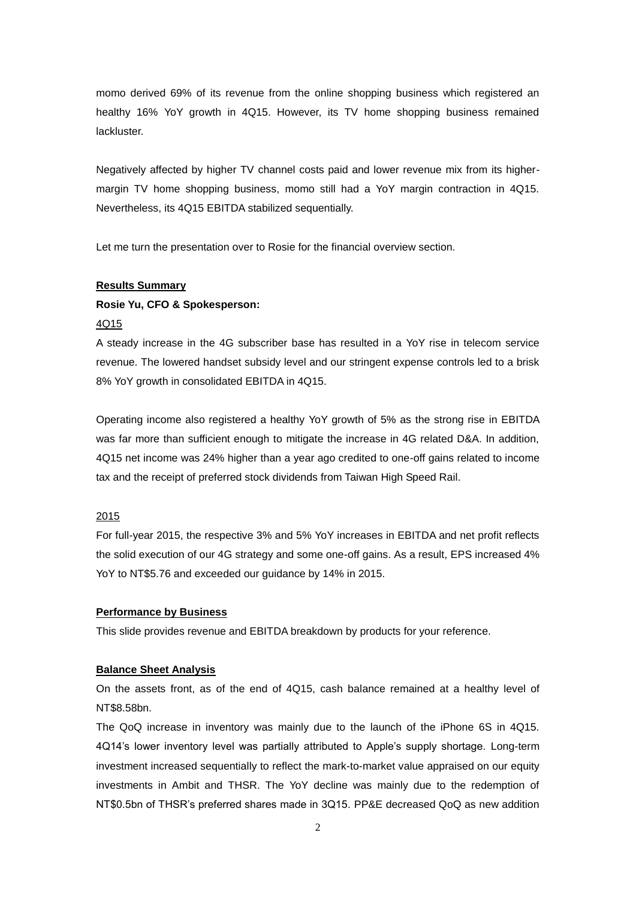momo derived 69% of its revenue from the online shopping business which registered an healthy 16% YoY growth in 4Q15. However, its TV home shopping business remained lackluster.

Negatively affected by higher TV channel costs paid and lower revenue mix from its highermargin TV home shopping business, momo still had a YoY margin contraction in 4Q15. Nevertheless, its 4Q15 EBITDA stabilized sequentially.

Let me turn the presentation over to Rosie for the financial overview section.

## **Results Summary**

## **Rosie Yu, CFO & Spokesperson:**

#### 4Q15

A steady increase in the 4G subscriber base has resulted in a YoY rise in telecom service revenue. The lowered handset subsidy level and our stringent expense controls led to a brisk 8% YoY growth in consolidated EBITDA in 4Q15.

Operating income also registered a healthy YoY growth of 5% as the strong rise in EBITDA was far more than sufficient enough to mitigate the increase in 4G related D&A. In addition, 4Q15 net income was 24% higher than a year ago credited to one-off gains related to income tax and the receipt of preferred stock dividends from Taiwan High Speed Rail.

## 2015

For full-year 2015, the respective 3% and 5% YoY increases in EBITDA and net profit reflects the solid execution of our 4G strategy and some one-off gains. As a result, EPS increased 4% YoY to NT\$5.76 and exceeded our guidance by 14% in 2015.

### **Performance by Business**

This slide provides revenue and EBITDA breakdown by products for your reference.

#### **Balance Sheet Analysis**

On the assets front, as of the end of 4Q15, cash balance remained at a healthy level of NT\$8.58bn.

The QoQ increase in inventory was mainly due to the launch of the iPhone 6S in 4Q15. 4Q14's lower inventory level was partially attributed to Apple's supply shortage. Long-term investment increased sequentially to reflect the mark-to-market value appraised on our equity investments in Ambit and THSR. The YoY decline was mainly due to the redemption of NT\$0.5bn of THSR's preferred shares made in 3Q15. PP&E decreased QoQ as new addition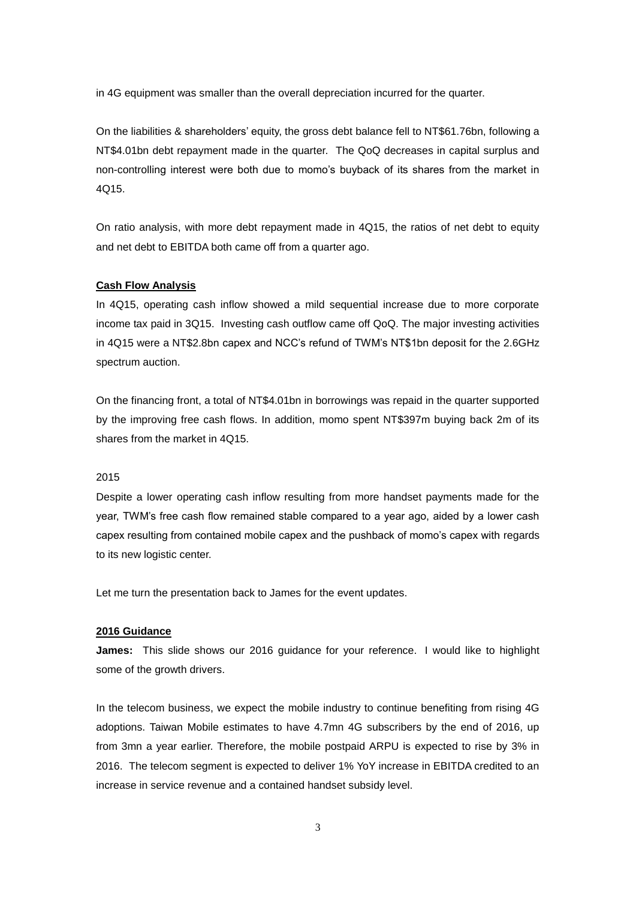in 4G equipment was smaller than the overall depreciation incurred for the quarter.

On the liabilities & shareholders' equity, the gross debt balance fell to NT\$61.76bn, following a NT\$4.01bn debt repayment made in the quarter. The QoQ decreases in capital surplus and non-controlling interest were both due to momo's buyback of its shares from the market in 4Q15.

On ratio analysis, with more debt repayment made in 4Q15, the ratios of net debt to equity and net debt to EBITDA both came off from a quarter ago.

### **Cash Flow Analysis**

In 4Q15, operating cash inflow showed a mild sequential increase due to more corporate income tax paid in 3Q15. Investing cash outflow came off QoQ. The major investing activities in 4Q15 were a NT\$2.8bn capex and NCC's refund of TWM's NT\$1bn deposit for the 2.6GHz spectrum auction.

On the financing front, a total of NT\$4.01bn in borrowings was repaid in the quarter supported by the improving free cash flows. In addition, momo spent NT\$397m buying back 2m of its shares from the market in 4Q15.

#### 2015

Despite a lower operating cash inflow resulting from more handset payments made for the year, TWM's free cash flow remained stable compared to a year ago, aided by a lower cash capex resulting from contained mobile capex and the pushback of momo's capex with regards to its new logistic center.

Let me turn the presentation back to James for the event updates.

#### **2016 Guidance**

**James:** This slide shows our 2016 guidance for your reference. I would like to highlight some of the growth drivers.

In the telecom business, we expect the mobile industry to continue benefiting from rising 4G adoptions. Taiwan Mobile estimates to have 4.7mn 4G subscribers by the end of 2016, up from 3mn a year earlier. Therefore, the mobile postpaid ARPU is expected to rise by 3% in 2016. The telecom segment is expected to deliver 1% YoY increase in EBITDA credited to an increase in service revenue and a contained handset subsidy level.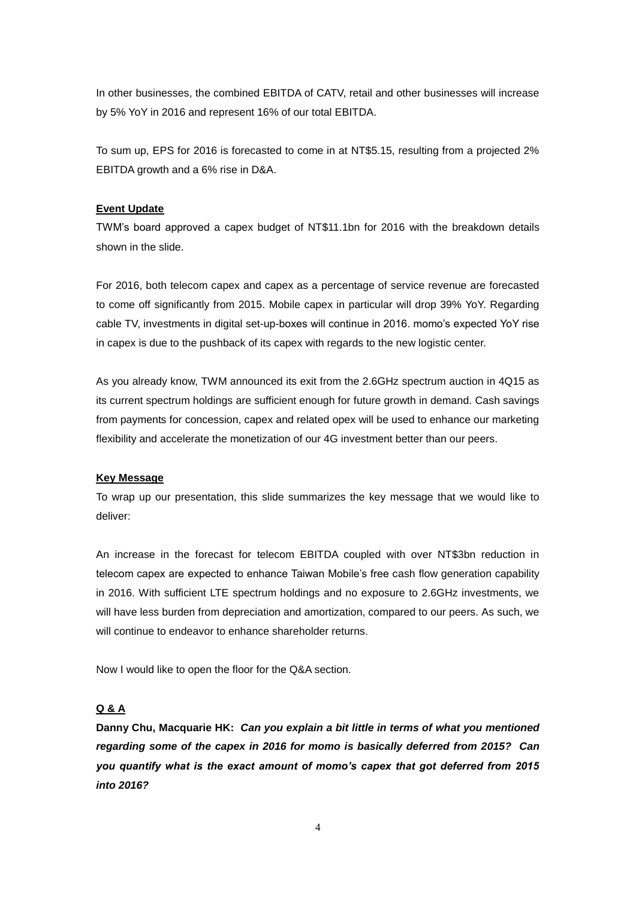In other businesses, the combined EBITDA of CATV, retail and other businesses will increase by 5% YoY in 2016 and represent 16% of our total EBITDA.

To sum up, EPS for 2016 is forecasted to come in at NT\$5.15, resulting from a projected 2% EBITDA growth and a 6% rise in D&A.

#### **Event Update**

TWM's board approved a capex budget of NT\$11.1bn for 2016 with the breakdown details shown in the slide.

For 2016, both telecom capex and capex as a percentage of service revenue are forecasted to come off significantly from 2015. Mobile capex in particular will drop 39% YoY. Regarding cable TV, investments in digital set-up-boxes will continue in 2016. momo's expected YoY rise in capex is due to the pushback of its capex with regards to the new logistic center.

As you already know, TWM announced its exit from the 2.6GHz spectrum auction in 4Q15 as its current spectrum holdings are sufficient enough for future growth in demand. Cash savings from payments for concession, capex and related opex will be used to enhance our marketing flexibility and accelerate the monetization of our 4G investment better than our peers.

#### **Key Message**

To wrap up our presentation, this slide summarizes the key message that we would like to deliver:

An increase in the forecast for telecom EBITDA coupled with over NT\$3bn reduction in telecom capex are expected to enhance Taiwan Mobile's free cash flow generation capability in 2016. With sufficient LTE spectrum holdings and no exposure to 2.6GHz investments, we will have less burden from depreciation and amortization, compared to our peers. As such, we will continue to endeavor to enhance shareholder returns.

Now I would like to open the floor for the Q&A section.

## **Q & A**

**Danny Chu, Macquarie HK:** *Can you explain a bit little in terms of what you mentioned regarding some of the capex in 2016 for momo is basically deferred from 2015? Can you quantify what is the exact amount of momo's capex that got deferred from 2015 into 2016?*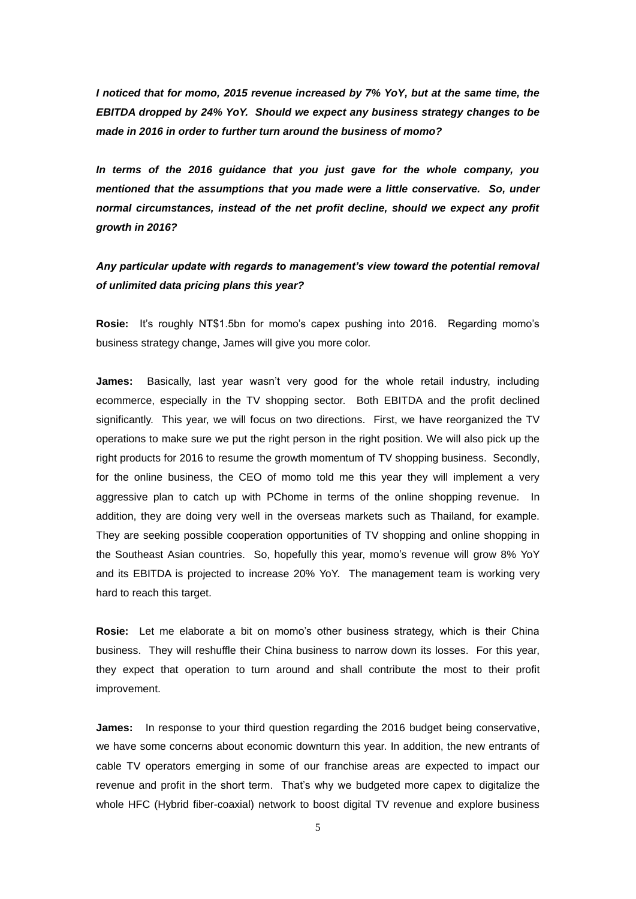*I noticed that for momo, 2015 revenue increased by 7% YoY, but at the same time, the EBITDA dropped by 24% YoY. Should we expect any business strategy changes to be made in 2016 in order to further turn around the business of momo?*

*In terms of the 2016 guidance that you just gave for the whole company, you mentioned that the assumptions that you made were a little conservative. So, under normal circumstances, instead of the net profit decline, should we expect any profit growth in 2016?*

## *Any particular update with regards to management's view toward the potential removal of unlimited data pricing plans this year?*

**Rosie:** It's roughly NT\$1.5bn for momo's capex pushing into 2016. Regarding momo's business strategy change, James will give you more color.

**James:** Basically, last year wasn't very good for the whole retail industry, including ecommerce, especially in the TV shopping sector. Both EBITDA and the profit declined significantly. This year, we will focus on two directions. First, we have reorganized the TV operations to make sure we put the right person in the right position. We will also pick up the right products for 2016 to resume the growth momentum of TV shopping business. Secondly, for the online business, the CEO of momo told me this year they will implement a very aggressive plan to catch up with PChome in terms of the online shopping revenue. In addition, they are doing very well in the overseas markets such as Thailand, for example. They are seeking possible cooperation opportunities of TV shopping and online shopping in the Southeast Asian countries. So, hopefully this year, momo's revenue will grow 8% YoY and its EBITDA is projected to increase 20% YoY. The management team is working very hard to reach this target.

**Rosie:** Let me elaborate a bit on momo's other business strategy, which is their China business. They will reshuffle their China business to narrow down its losses. For this year, they expect that operation to turn around and shall contribute the most to their profit improvement.

**James:** In response to your third question regarding the 2016 budget being conservative, we have some concerns about economic downturn this year. In addition, the new entrants of cable TV operators emerging in some of our franchise areas are expected to impact our revenue and profit in the short term. That's why we budgeted more capex to digitalize the whole HFC (Hybrid fiber-coaxial) network to boost digital TV revenue and explore business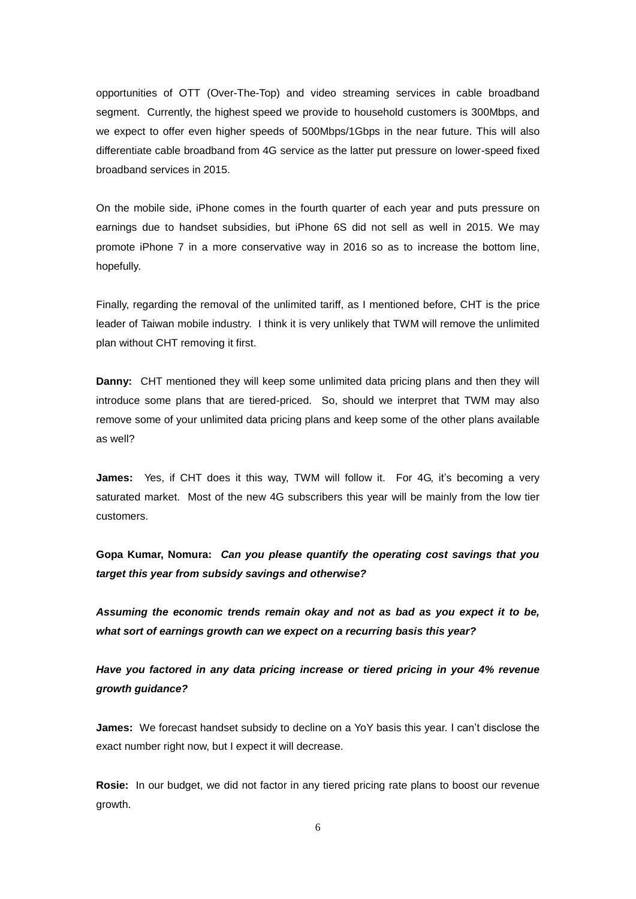opportunities of OTT (Over-The-Top) and video streaming services in cable broadband segment. Currently, the highest speed we provide to household customers is 300Mbps, and we expect to offer even higher speeds of 500Mbps/1Gbps in the near future. This will also differentiate cable broadband from 4G service as the latter put pressure on lower-speed fixed broadband services in 2015.

On the mobile side, iPhone comes in the fourth quarter of each year and puts pressure on earnings due to handset subsidies, but iPhone 6S did not sell as well in 2015. We may promote iPhone 7 in a more conservative way in 2016 so as to increase the bottom line, hopefully.

Finally, regarding the removal of the unlimited tariff, as I mentioned before, CHT is the price leader of Taiwan mobile industry. I think it is very unlikely that TWM will remove the unlimited plan without CHT removing it first.

**Danny:** CHT mentioned they will keep some unlimited data pricing plans and then they will introduce some plans that are tiered-priced. So, should we interpret that TWM may also remove some of your unlimited data pricing plans and keep some of the other plans available as well?

**James:** Yes, if CHT does it this way, TWM will follow it. For 4G, it's becoming a very saturated market. Most of the new 4G subscribers this year will be mainly from the low tier customers.

**Gopa Kumar, Nomura:** *Can you please quantify the operating cost savings that you target this year from subsidy savings and otherwise?* 

*Assuming the economic trends remain okay and not as bad as you expect it to be, what sort of earnings growth can we expect on a recurring basis this year?*

*Have you factored in any data pricing increase or tiered pricing in your 4% revenue growth guidance?*

**James:** We forecast handset subsidy to decline on a YoY basis this year. I can't disclose the exact number right now, but I expect it will decrease.

**Rosie:** In our budget, we did not factor in any tiered pricing rate plans to boost our revenue growth.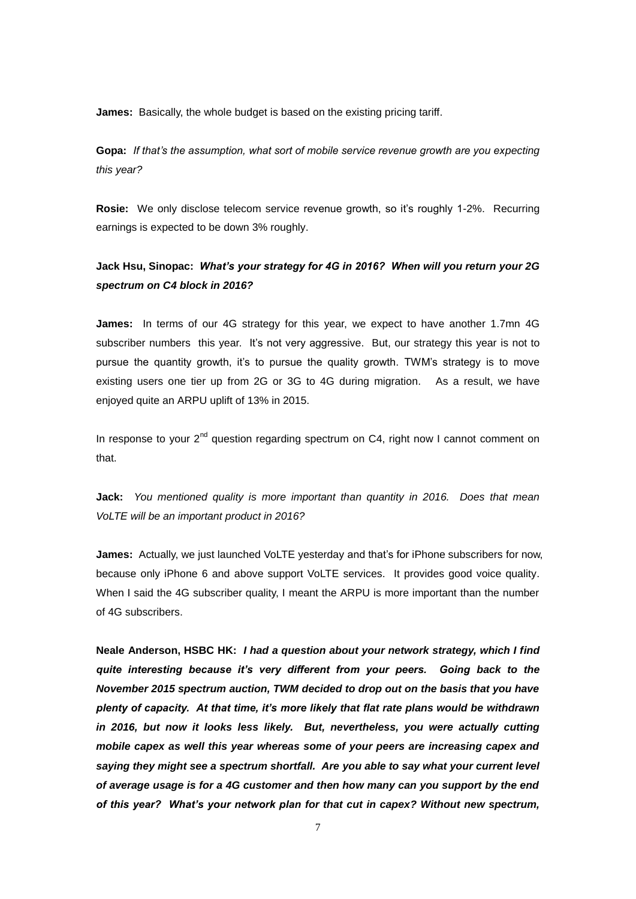**James:** Basically, the whole budget is based on the existing pricing tariff.

**Gopa:** *If that's the assumption, what sort of mobile service revenue growth are you expecting this year?*

**Rosie:** We only disclose telecom service revenue growth, so it's roughly 1-2%. Recurring earnings is expected to be down 3% roughly.

## **Jack Hsu, Sinopac:** *What's your strategy for 4G in 2016? When will you return your 2G spectrum on C4 block in 2016?*

**James:** In terms of our 4G strategy for this year, we expect to have another 1.7mn 4G subscriber numbers this year. It's not very aggressive. But, our strategy this year is not to pursue the quantity growth, it's to pursue the quality growth. TWM's strategy is to move existing users one tier up from 2G or 3G to 4G during migration. As a result, we have enjoyed quite an ARPU uplift of 13% in 2015.

In response to your  $2^{nd}$  question regarding spectrum on C4, right now I cannot comment on that.

**Jack:** *You mentioned quality is more important than quantity in 2016. Does that mean VoLTE will be an important product in 2016?*

**James:** Actually, we just launched VoLTE yesterday and that's for iPhone subscribers for now, because only iPhone 6 and above support VoLTE services. It provides good voice quality. When I said the 4G subscriber quality, I meant the ARPU is more important than the number of 4G subscribers.

**Neale Anderson, HSBC HK:** *I had a question about your network strategy, which I find quite interesting because it's very different from your peers. Going back to the November 2015 spectrum auction, TWM decided to drop out on the basis that you have plenty of capacity. At that time, it's more likely that flat rate plans would be withdrawn in 2016, but now it looks less likely. But, nevertheless, you were actually cutting mobile capex as well this year whereas some of your peers are increasing capex and saying they might see a spectrum shortfall. Are you able to say what your current level of average usage is for a 4G customer and then how many can you support by the end of this year? What's your network plan for that cut in capex? Without new spectrum,*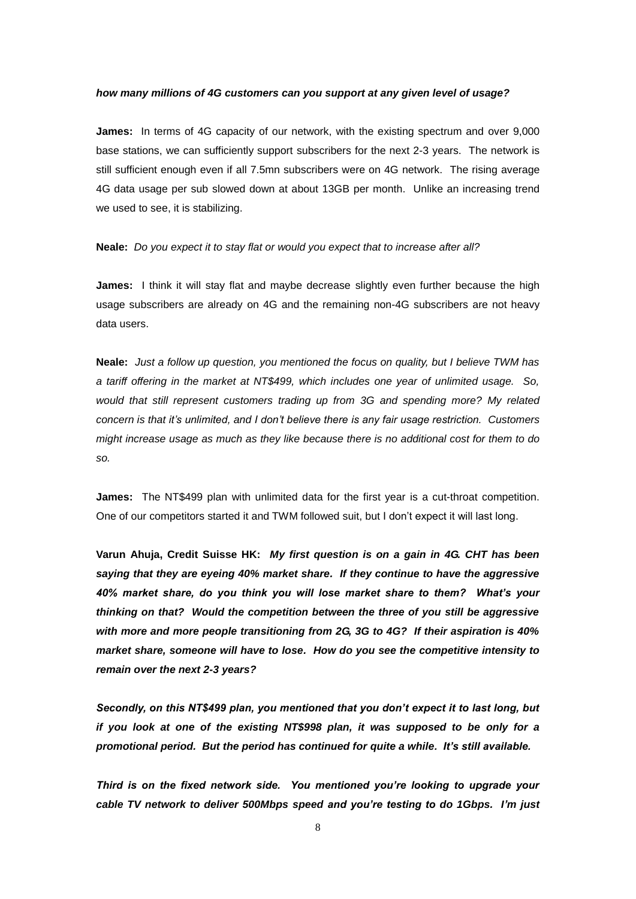#### *how many millions of 4G customers can you support at any given level of usage?*

**James:** In terms of 4G capacity of our network, with the existing spectrum and over 9,000 base stations, we can sufficiently support subscribers for the next 2-3 years. The network is still sufficient enough even if all 7.5mn subscribers were on 4G network. The rising average 4G data usage per sub slowed down at about 13GB per month. Unlike an increasing trend we used to see, it is stabilizing.

**Neale:** *Do you expect it to stay flat or would you expect that to increase after all?*

**James:** I think it will stay flat and maybe decrease slightly even further because the high usage subscribers are already on 4G and the remaining non-4G subscribers are not heavy data users.

**Neale:** *Just a follow up question, you mentioned the focus on quality, but I believe TWM has a tariff offering in the market at NT\$499, which includes one year of unlimited usage. So, would that still represent customers trading up from 3G and spending more? My related concern is that it's unlimited, and I don't believe there is any fair usage restriction. Customers might increase usage as much as they like because there is no additional cost for them to do so.* 

**James:** The NT\$499 plan with unlimited data for the first year is a cut-throat competition. One of our competitors started it and TWM followed suit, but I don't expect it will last long.

**Varun Ahuja, Credit Suisse HK:** *My first question is on a gain in 4G. CHT has been saying that they are eyeing 40% market share. If they continue to have the aggressive 40% market share, do you think you will lose market share to them? What's your thinking on that? Would the competition between the three of you still be aggressive with more and more people transitioning from 2G, 3G to 4G? If their aspiration is 40% market share, someone will have to lose. How do you see the competitive intensity to remain over the next 2-3 years?*

*Secondly, on this NT\$499 plan, you mentioned that you don't expect it to last long, but if you look at one of the existing NT\$998 plan, it was supposed to be only for a promotional period. But the period has continued for quite a while. It's still available.* 

*Third is on the fixed network side. You mentioned you're looking to upgrade your cable TV network to deliver 500Mbps speed and you're testing to do 1Gbps. I'm just*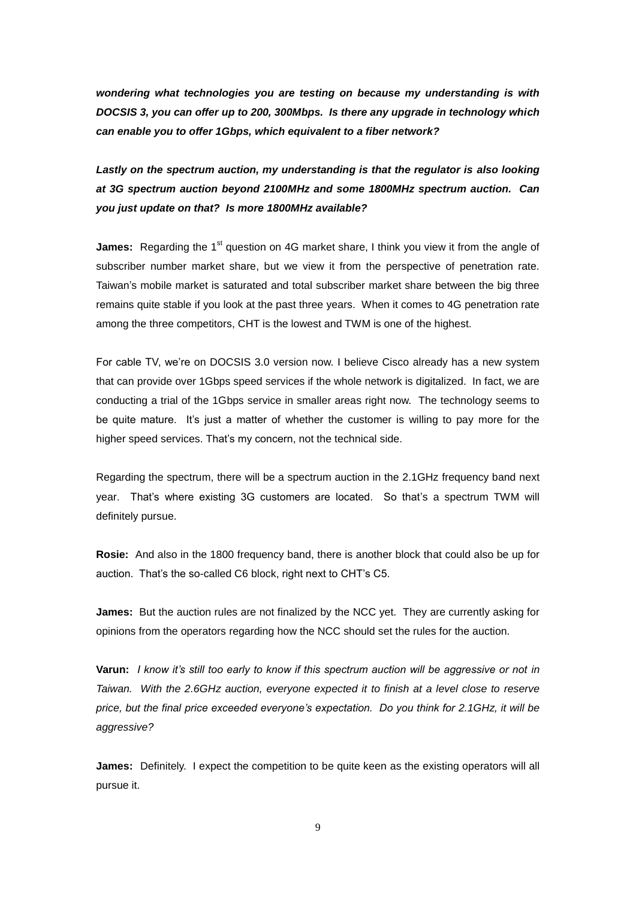*wondering what technologies you are testing on because my understanding is with DOCSIS 3, you can offer up to 200, 300Mbps. Is there any upgrade in technology which can enable you to offer 1Gbps, which equivalent to a fiber network?*

Lastly on the spectrum auction, my understanding is that the regulator is also looking *at 3G spectrum auction beyond 2100MHz and some 1800MHz spectrum auction. Can you just update on that? Is more 1800MHz available?*

**James:** Regarding the 1<sup>st</sup> question on 4G market share, I think you view it from the angle of subscriber number market share, but we view it from the perspective of penetration rate. Taiwan's mobile market is saturated and total subscriber market share between the big three remains quite stable if you look at the past three years. When it comes to 4G penetration rate among the three competitors, CHT is the lowest and TWM is one of the highest.

For cable TV, we're on DOCSIS 3.0 version now. I believe Cisco already has a new system that can provide over 1Gbps speed services if the whole network is digitalized. In fact, we are conducting a trial of the 1Gbps service in smaller areas right now. The technology seems to be quite mature. It's just a matter of whether the customer is willing to pay more for the higher speed services. That's my concern, not the technical side.

Regarding the spectrum, there will be a spectrum auction in the 2.1GHz frequency band next year. That's where existing 3G customers are located. So that's a spectrum TWM will definitely pursue.

**Rosie:** And also in the 1800 frequency band, there is another block that could also be up for auction. That's the so-called C6 block, right next to CHT's C5.

**James:** But the auction rules are not finalized by the NCC yet. They are currently asking for opinions from the operators regarding how the NCC should set the rules for the auction.

**Varun:** *I know it's still too early to know if this spectrum auction will be aggressive or not in Taiwan. With the 2.6GHz auction, everyone expected it to finish at a level close to reserve price, but the final price exceeded everyone's expectation. Do you think for 2.1GHz, it will be aggressive?*

**James:** Definitely. I expect the competition to be quite keen as the existing operators will all pursue it.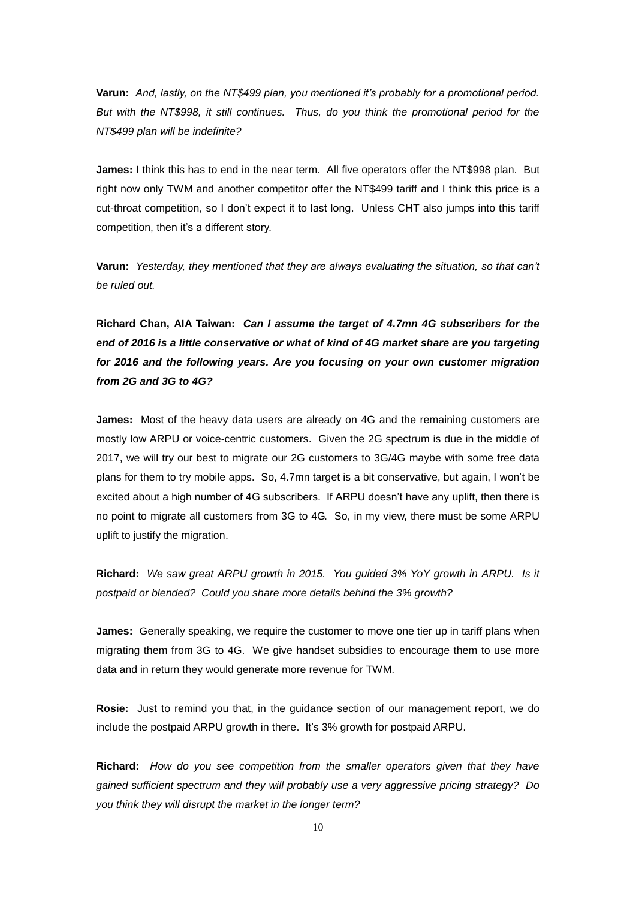**Varun:** *And, lastly, on the NT\$499 plan, you mentioned it's probably for a promotional period. But with the NT\$998, it still continues. Thus, do you think the promotional period for the NT\$499 plan will be indefinite?*

**James:** I think this has to end in the near term. All five operators offer the NT\$998 plan. But right now only TWM and another competitor offer the NT\$499 tariff and I think this price is a cut-throat competition, so I don't expect it to last long. Unless CHT also jumps into this tariff competition, then it's a different story.

**Varun:** *Yesterday, they mentioned that they are always evaluating the situation, so that can't be ruled out.* 

**Richard Chan, AIA Taiwan:** *Can I assume the target of 4.7mn 4G subscribers for the end of 2016 is a little conservative or what of kind of 4G market share are you targeting for 2016 and the following years. Are you focusing on your own customer migration from 2G and 3G to 4G?*

**James:** Most of the heavy data users are already on 4G and the remaining customers are mostly low ARPU or voice-centric customers. Given the 2G spectrum is due in the middle of 2017, we will try our best to migrate our 2G customers to 3G/4G maybe with some free data plans for them to try mobile apps. So, 4.7mn target is a bit conservative, but again, I won't be excited about a high number of 4G subscribers. If ARPU doesn't have any uplift, then there is no point to migrate all customers from 3G to 4G. So, in my view, there must be some ARPU uplift to justify the migration.

**Richard:** *We saw great ARPU growth in 2015. You guided 3% YoY growth in ARPU. Is it postpaid or blended? Could you share more details behind the 3% growth?*

**James:** Generally speaking, we require the customer to move one tier up in tariff plans when migrating them from 3G to 4G. We give handset subsidies to encourage them to use more data and in return they would generate more revenue for TWM.

**Rosie:** Just to remind you that, in the guidance section of our management report, we do include the postpaid ARPU growth in there. It's 3% growth for postpaid ARPU.

**Richard:** *How do you see competition from the smaller operators given that they have gained sufficient spectrum and they will probably use a very aggressive pricing strategy? Do you think they will disrupt the market in the longer term?*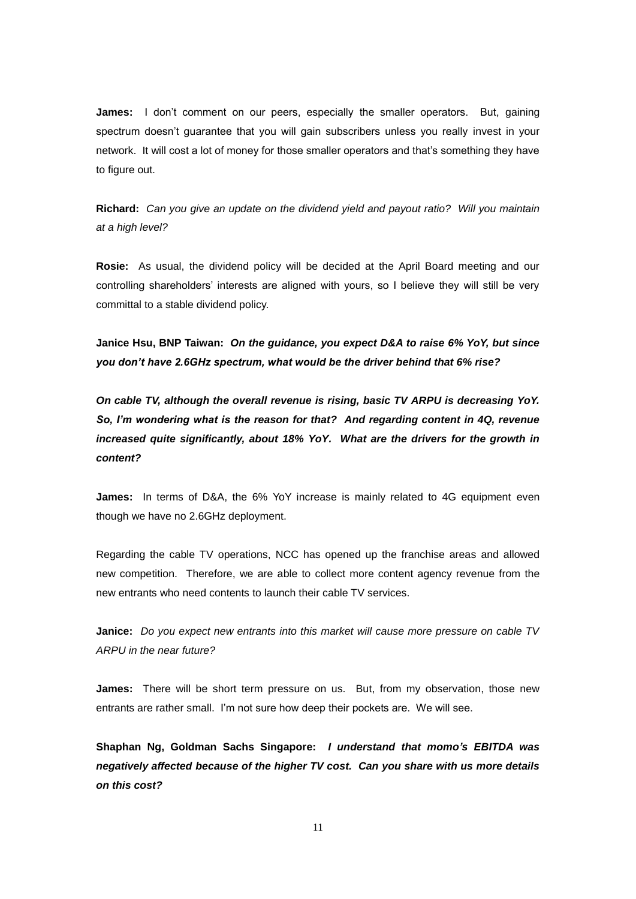**James:** I don't comment on our peers, especially the smaller operators. But, gaining spectrum doesn't guarantee that you will gain subscribers unless you really invest in your network. It will cost a lot of money for those smaller operators and that's something they have to figure out.

**Richard:** *Can you give an update on the dividend yield and payout ratio? Will you maintain at a high level?*

**Rosie:** As usual, the dividend policy will be decided at the April Board meeting and our controlling shareholders' interests are aligned with yours, so I believe they will still be very committal to a stable dividend policy.

**Janice Hsu, BNP Taiwan:** *On the guidance, you expect D&A to raise 6% YoY, but since you don't have 2.6GHz spectrum, what would be the driver behind that 6% rise?*

*On cable TV, although the overall revenue is rising, basic TV ARPU is decreasing YoY. So, I'm wondering what is the reason for that? And regarding content in 4Q, revenue increased quite significantly, about 18% YoY. What are the drivers for the growth in content?*

**James:** In terms of D&A, the 6% YoY increase is mainly related to 4G equipment even though we have no 2.6GHz deployment.

Regarding the cable TV operations, NCC has opened up the franchise areas and allowed new competition. Therefore, we are able to collect more content agency revenue from the new entrants who need contents to launch their cable TV services.

**Janice:** *Do you expect new entrants into this market will cause more pressure on cable TV ARPU in the near future?*

**James:** There will be short term pressure on us. But, from my observation, those new entrants are rather small. I'm not sure how deep their pockets are. We will see.

**Shaphan Ng, Goldman Sachs Singapore:** *I understand that momo's EBITDA was negatively affected because of the higher TV cost. Can you share with us more details on this cost?*